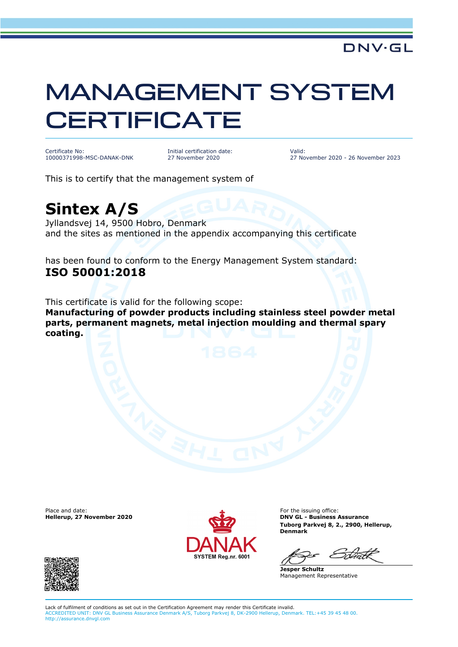## MANAGEMENT SYSTEM **CERTIFICATE**

Certificate No: 10000371998-MSC-DANAK-DNK Initial certification date: 27 November 2020

Valid: 27 November 2020 - 26 November 2023

This is to certify that the management system of

## **Sintex A/S**

Jyllandsvej 14, 9500 Hobro, Denmark and the sites as mentioned in the appendix accompanying this certificate

has been found to conform to the Energy Management System standard: **ISO 50001:2018**

This certificate is valid for the following scope: **Manufacturing of powder products including stainless steel powder metal parts, permanent magnets, metal injection moulding and thermal spary coating.**

Place and date:<br>Hellerup, 27 November 2020



For the issuing office: **DNV GL - Business Assurance Tuborg Parkvej 8, 2., 2900, Hellerup, Denmark**

**Jesper Schultz** Management Representative



Lack of fulfilment of conditions as set out in the Certification Agreement may render this Certificate invalid. ACCREDITED UNIT: DNV GL Business Assurance Denmark A/S, Tuborg Parkvej 8, DK-2900 Hellerup, Denmark. TEL:+45 39 45 48 00. http://assurance.dnvgl.com